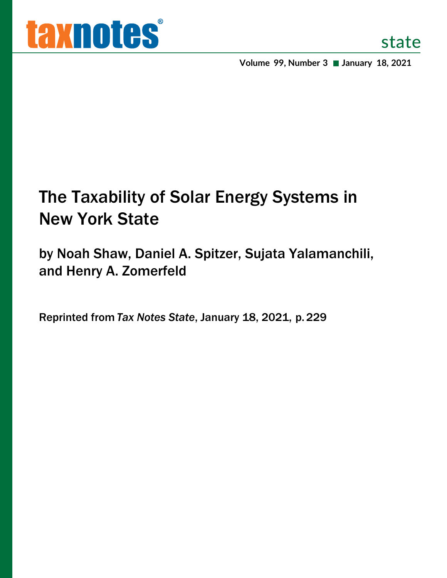**Volume 99, Number 3 January 18, 2021**

# The Taxability of Solar Energy Systems in New York State

by Noah Shaw, Daniel A. Spitzer, Sujata Yalamanchili, and Henry A. Zomerfeld

Reprinted from *Tax Notes State*, January 18, 2021, p. 229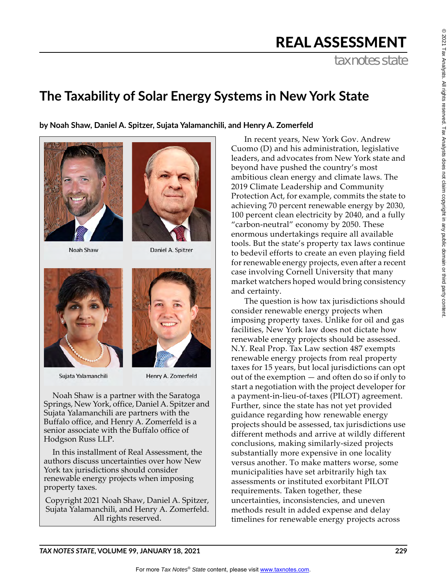$^{\circ}$ 

## REAL ASSESSMENT

tax notes state

### **The Taxability of Solar Energy Systems in New York State**

**by Noah Shaw, Daniel A. Spitzer, Sujata Yalamanchili, and Henry A. Zomerfeld**





Noah Shaw

Daniel A. Spitzer



Sujata Yalamanchili



Henry A. Zomerfeld

Noah Shaw is a partner with the Saratoga Springs, New York, office, Daniel A. Spitzer and Sujata Yalamanchili are partners with the Buffalo office, and Henry A. Zomerfeld is a senior associate with the Buffalo office of Hodgson Russ LLP.

In this installment of Real Assessment, the authors discuss uncertainties over how New York tax jurisdictions should consider renewable energy projects when imposing property taxes.

Copyright 2021 Noah Shaw, Daniel A. Spitzer, Sujata Yalamanchili, and Henry A. Zomerfeld. All rights reserved.

In recent years, New York Gov. Andrew Cuomo (D) and his administration, legislative leaders, and advocates from New York state and beyond have pushed the country's most ambitious clean energy and climate laws. The 2019 Climate Leadership and Community Protection Act, for example, commits the state to achieving 70 percent renewable energy by 2030, 100 percent clean electricity by 2040, and a fully "carbon-neutral" economy by 2050. These enormous undertakings require all available tools. But the state's property tax laws continue to bedevil efforts to create an even playing field for renewable energy projects, even after a recent case involving Cornell University that many market watchers hoped would bring consistency and certainty.

The question is how tax jurisdictions should consider renewable energy projects when imposing property taxes. Unlike for oil and gas facilities, New York law does not dictate how renewable energy projects should be assessed. N.Y. Real Prop. Tax Law section 487 exempts renewable energy projects from real property taxes for 15 years, but local jurisdictions can opt out of the exemption — and often do so if only to start a negotiation with the project developer for a payment-in-lieu-of-taxes (PILOT) agreement. Further, since the state has not yet provided guidance regarding how renewable energy projects should be assessed, tax jurisdictions use different methods and arrive at wildly different conclusions, making similarly-sized projects substantially more expensive in one locality versus another. To make matters worse, some municipalities have set arbitrarily high tax assessments or instituted exorbitant PILOT requirements. Taken together, these uncertainties, inconsistencies, and uneven methods result in added expense and delay timelines for renewable energy projects across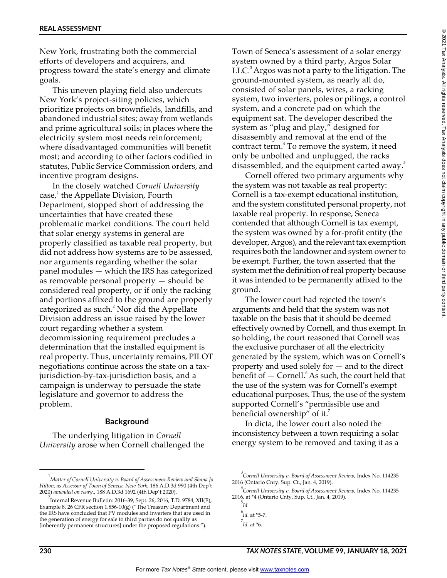New York, frustrating both the commercial efforts of developers and acquirers, and progress toward the state's energy and climate goals.

This uneven playing field also undercuts New York's project-siting policies, which prioritize projects on brownfields, landfills, and abandoned industrial sites; away from wetlands and prime agricultural soils; in places where the electricity system most needs reinforcement; where disadvantaged communities will benefit most; and according to other factors codified in statutes, Public Service Commission orders, and incentive program designs.

In the closely watched *Cornell University* case,<sup>1</sup> the Appellate Division, Fourth Department, stopped short of addressing the uncertainties that have created these problematic market conditions. The court held that solar energy systems in general are properly classified as taxable real property, but did not address how systems are to be assessed, nor arguments regarding whether the solar panel modules — which the IRS has categorized as removable personal property — should be considered real property, or if only the racking and portions affixed to the ground are properly categorized as such. $2$  Nor did the Appellate Division address an issue raised by the lower court regarding whether a system decommissioning requirement precludes a determination that the installed equipment is real property. Thus, uncertainty remains, PILOT negotiations continue across the state on a taxjurisdiction-by-tax-jurisdiction basis, and a campaign is underway to persuade the state legislature and governor to address the problem.

#### **Background**

The underlying litigation in *Cornell University* arose when Cornell challenged the

Town of Seneca's assessment of a solar energy system owned by a third party, Argos Solar  $LLC<sup>3</sup>$  Argos was not a party to the litigation. The ground-mounted system, as nearly all do, consisted of solar panels, wires, a racking system, two inverters, poles or pilings, a control system, and a concrete pad on which the equipment sat. The developer described the system as "plug and play," designed for disassembly and removal at the end of the contract term.<sup>4</sup> To remove the system, it need only be unbolted and unplugged, the racks disassembled, and the equipment carted away.<sup>5</sup>

Cornell offered two primary arguments why the system was not taxable as real property: Cornell is a tax-exempt educational institution, and the system constituted personal property, not taxable real property. In response, Seneca contended that although Cornell is tax exempt, the system was owned by a for-profit entity (the developer, Argos), and the relevant tax exemption requires both the landowner and system owner to be exempt. Further, the town asserted that the system met the definition of real property because it was intended to be permanently affixed to the ground.

The lower court had rejected the town's arguments and held that the system was not taxable on the basis that it should be deemed effectively owned by Cornell, and thus exempt. In so holding, the court reasoned that Cornell was the exclusive purchaser of all the electricity generated by the system, which was on Cornell's property and used solely for — and to the direct benefit of  $-$  Cornell.<sup>6</sup> As such, the court held that the use of the system was for Cornell's exempt educational purposes. Thus, the use of the system supported Cornell's "permissible use and beneficial ownership" of it. $\overline{a}$ 

In dicta, the lower court also noted the inconsistency between a town requiring a solar energy system to be removed and taxing it as a

 $^{\circ}$ 

<sup>1</sup> *Matter of Cornell University v. Board of Assessment Review and Shana Jo Hilton, as Assessor of Town of Seneca, New York*, 186 A.D.3d 990 (4th Dep't 2020) *amended on rearg.*, 188 A.D.3d 1692 (4th Dep't 2020).

<sup>&</sup>lt;sup>2</sup><br>Internal Revenue Bulletin: 2016-39, Sept. 26, 2016, T.D. 9784, XII(E), Example 8, 26 CFR section  $1.856-10(g)$  ("The Treasury Department and the IRS have concluded that PV modules and inverters that are used in the generation of energy for sale to third parties do not qualify as [inherently permanent structures] under the proposed regulations.").

<sup>3</sup> *Cornell University v. Board of Assessment Review*, Index No. 114235- 2016 (Ontario Cnty. Sup. Ct., Jan. 4, 2019).

<sup>4</sup> *Cornell University v. Board of Assessment Review*, Index No. 114235- 2016, at \*4 (Ontario Cnty. Sup. Ct., Jan. 4, 2019).

<sup>5</sup> *Id.*

<sup>6</sup> *Id.* at \*5-7.

<sup>7</sup> *Id.* at \*6.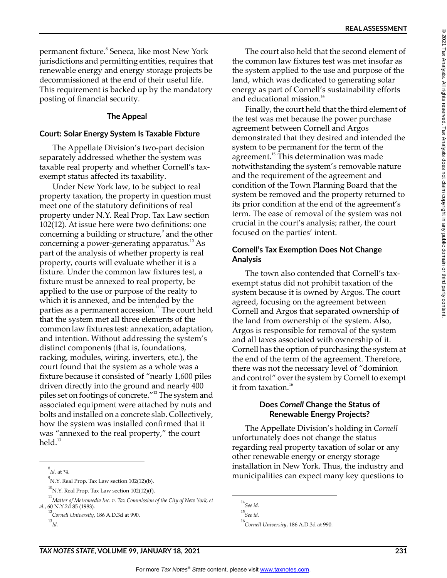permanent fixture.<sup>8</sup> Seneca, like most New York jurisdictions and permitting entities, requires that renewable energy and energy storage projects be decommissioned at the end of their useful life. This requirement is backed up by the mandatory posting of financial security.

#### **The Appeal**

#### **Court: Solar Energy System Is Taxable Fixture**

The Appellate Division's two-part decision separately addressed whether the system was taxable real property and whether Cornell's taxexempt status affected its taxability.

Under New York law, to be subject to real property taxation, the property in question must meet one of the statutory definitions of real property under N.Y. Real Prop. Tax Law section 102(12). At issue here were two definitions: one concerning a building or structure,<sup>9</sup> and the other concerning a power-generating apparatus.<sup>10</sup> As part of the analysis of whether property is real property, courts will evaluate whether it is a fixture. Under the common law fixtures test, a fixture must be annexed to real property, be applied to the use or purpose of the realty to which it is annexed, and be intended by the parties as a permanent accession.<sup>11</sup> The court held that the system met all three elements of the common law fixtures test: annexation, adaptation, and intention. Without addressing the system's distinct components (that is, foundations, racking, modules, wiring, inverters, etc.), the court found that the system as a whole was a fixture because it consisted of "nearly 1,600 piles driven directly into the ground and nearly 400 piles set on footings of concrete."12 The system and associated equipment were attached by nuts and bolts and installed on a concrete slab. Collectively, how the system was installed confirmed that it was "annexed to the real property," the court held. $13$ 

The court also held that the second element of the common law fixtures test was met insofar as the system applied to the use and purpose of the land, which was dedicated to generating solar energy as part of Cornell's sustainability efforts and educational mission.<sup>14</sup>

Finally, the court held that the third element of the test was met because the power purchase agreement between Cornell and Argos demonstrated that they desired and intended the system to be permanent for the term of the agreement.<sup>15</sup> This determination was made notwithstanding the system's removable nature and the requirement of the agreement and condition of the Town Planning Board that the system be removed and the property returned to its prior condition at the end of the agreement's term. The ease of removal of the system was not crucial in the court's analysis; rather, the court focused on the parties' intent.

#### **Cornell's Tax Exemption Does Not Change Analysis**

The town also contended that Cornell's taxexempt status did not prohibit taxation of the system because it is owned by Argos. The court agreed, focusing on the agreement between Cornell and Argos that separated ownership of the land from ownership of the system. Also, Argos is responsible for removal of the system and all taxes associated with ownership of it. Cornell has the option of purchasing the system at the end of the term of the agreement. Therefore, there was not the necessary level of "dominion and control" over the system by Cornell to exempt it from taxation. $16$ 

#### **Does** *Cornell* **Change the Status of Renewable Energy Projects?**

The Appellate Division's holding in *Cornell* unfortunately does not change the status regarding real property taxation of solar or any other renewable energy or energy storage installation in New York. Thus, the industry and municipalities can expect many key questions to

<sup>8</sup> *Id.* at \*4.

<sup>9</sup> N.Y. Real Prop. Tax Law section 102(12)(b).

 $^{10}$ N.Y. Real Prop. Tax Law section 102(12)(f).

<sup>&</sup>lt;sup>11</sup> Matter of Metromedia Inc. v. Tax Commission of the City of New York, et *al.*, 60 N.Y.2d 85 (1983).

<sup>12</sup> *Cornell University*, 186 A.D.3d at 990.

<sup>13</sup> *Id.*

<sup>14</sup> *See id.*

<sup>15</sup> *See id.*

<sup>16</sup> *Cornell University*, 186 A.D.3d at 990.